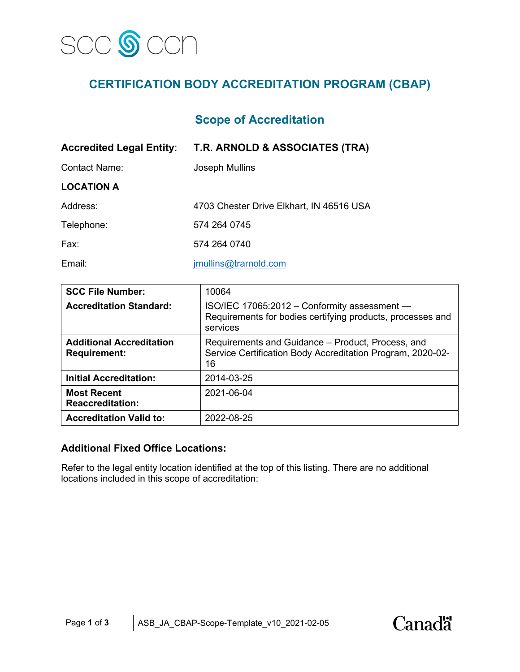

# **CERTIFICATION BODY ACCREDITATION PROGRAM (CBAP)**

# **Scope of Accreditation**

| <b>Accredited Legal Entity:</b> | T.R. ARNOLD & ASSOCIATES (TRA)           |  |
|---------------------------------|------------------------------------------|--|
| <b>Contact Name:</b>            | Joseph Mullins                           |  |
| <b>LOCATION A</b>               |                                          |  |
| Address:                        | 4703 Chester Drive Elkhart, IN 46516 USA |  |
| Telephone:                      | 574 264 0745                             |  |
| Fax:                            | 574 264 0740                             |  |
| Email:                          | jmullins@trarnold.com                    |  |

| <b>SCC File Number:</b>                                | 10064                                                                                                                  |  |
|--------------------------------------------------------|------------------------------------------------------------------------------------------------------------------------|--|
| <b>Accreditation Standard:</b>                         | ISO/IEC 17065:2012 - Conformity assessment -<br>Requirements for bodies certifying products, processes and<br>services |  |
| <b>Additional Accreditation</b><br><b>Requirement:</b> | Requirements and Guidance - Product, Process, and<br>Service Certification Body Accreditation Program, 2020-02-<br>16  |  |
| <b>Initial Accreditation:</b>                          | 2014-03-25                                                                                                             |  |
| <b>Most Recent</b><br><b>Reaccreditation:</b>          | 2021-06-04                                                                                                             |  |
| <b>Accreditation Valid to:</b>                         | 2022-08-25                                                                                                             |  |

#### **Additional Fixed Office Locations:**

Refer to the legal entity location identified at the top of this listing. There are no additional locations included in this scope of accreditation:

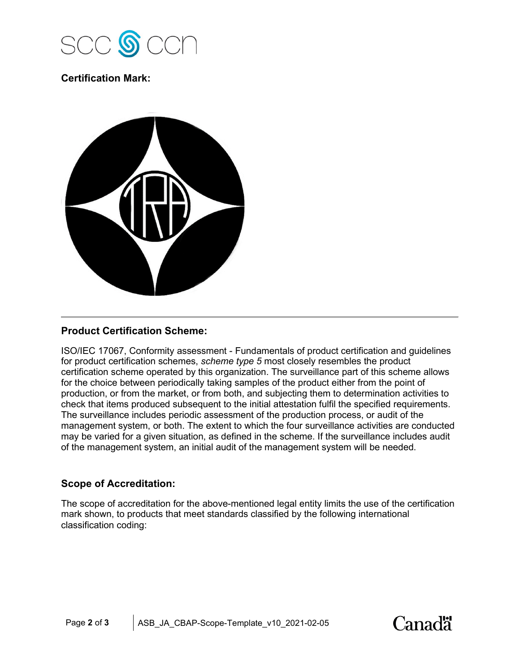

## **Certification Mark:**



### **Product Certification Scheme:**

ISO/IEC 17067, Conformity assessment - Fundamentals of product certification and guidelines for product certification schemes, *scheme type 5* most closely resembles the product certification scheme operated by this organization. The surveillance part of this scheme allows for the choice between periodically taking samples of the product either from the point of production, or from the market, or from both, and subjecting them to determination activities to check that items produced subsequent to the initial attestation fulfil the specified requirements. The surveillance includes periodic assessment of the production process, or audit of the management system, or both. The extent to which the four surveillance activities are conducted may be varied for a given situation, as defined in the scheme. If the surveillance includes audit of the management system, an initial audit of the management system will be needed.

#### **Scope of Accreditation:**

The scope of accreditation for the above-mentioned legal entity limits the use of the certification mark shown, to products that meet standards classified by the following international classification coding: